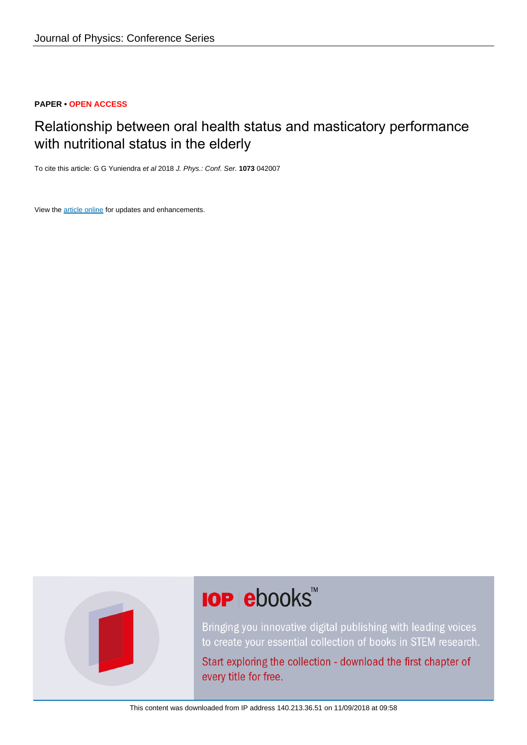### **PAPER • OPEN ACCESS**

## Relationship between oral health status and masticatory performance with nutritional status in the elderly

To cite this article: G G Yuniendra et al 2018 J. Phys.: Conf. Ser. **1073** 042007

View the [article online](https://doi.org/10.1088/1742-6596/1073/4/042007) for updates and enhancements.



# **IOP ebooks**™

Bringing you innovative digital publishing with leading voices to create your essential collection of books in STEM research.

Start exploring the collection - download the first chapter of every title for free.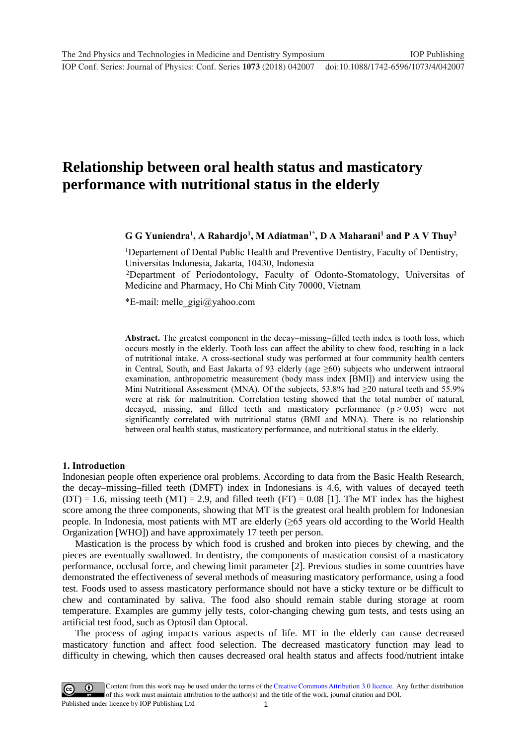**1234567890** ''"" IOP Conf. Series: Journal of Physics: Conf. Series **1073** (2018) 042007 doi :10.1088/1742-6596/1073/4/042007

## **Relationship between oral health status and masticatory performance with nutritional status in the elderly**

**G G Yuniendra<sup>1</sup> , A Rahardjo<sup>1</sup> , M Adiatman1\* , D A Maharani<sup>1</sup> and P A V Thuy<sup>2</sup>**

<sup>1</sup>Departement of Dental Public Health and Preventive Dentistry, Faculty of Dentistry, Universitas Indonesia, Jakarta, 10430, Indonesia

<sup>2</sup>Department of Periodontology, Faculty of Odonto-Stomatology, Universitas of Medicine and Pharmacy, Ho Chi Minh City 70000, Vietnam

\*E-mail: melle  $q$ igi $@y$ ahoo.com

**Abstract.** The greatest component in the decay–missing–filled teeth index is tooth loss, which occurs mostly in the elderly. Tooth loss can affect the ability to chew food, resulting in a lack of nutritional intake. A cross-sectional study was performed at four community health centers in Central, South, and East Jakarta of 93 elderly (age  $\geq 60$ ) subjects who underwent intraoral examination, anthropometric measurement (body mass index [BMI]) and interview using the Mini Nutritional Assessment (MNA). Of the subjects, 53.8% had  $\geq$ 20 natural teeth and 55.9% were at risk for malnutrition. Correlation testing showed that the total number of natural, decayed, missing, and filled teeth and masticatory performance  $(p > 0.05)$  were not significantly correlated with nutritional status (BMI and MNA). There is no relationship between oral health status, masticatory performance, and nutritional status in the elderly.

#### **1. Introduction**

Indonesian people often experience oral problems. According to data from the Basic Health Research, the decay–missing–filled teeth (DMFT) index in Indonesians is 4.6, with values of decayed teeth  $(DT) = 1.6$ , missing teeth  $(MT) = 2.9$ , and filled teeth  $(FT) = 0.08$  [1]. The MT index has the highest score among the three components, showing that MT is the greatest oral health problem for Indonesian people. In Indonesia, most patients with MT are elderly (≥65 years old according to the World Health Organization [WHO]) and have approximately 17 teeth per person.

Mastication is the process by which food is crushed and broken into pieces by chewing, and the pieces are eventually swallowed. In dentistry, the components of mastication consist of a masticatory performance, occlusal force, and chewing limit parameter [2]. Previous studies in some countries have demonstrated the effectiveness of several methods of measuring masticatory performance, using a food test. Foods used to assess masticatory performance should not have a sticky texture or be difficult to chew and contaminated by saliva. The food also should remain stable during storage at room temperature. Examples are gummy jelly tests, color-changing chewing gum tests, and tests using an artificial test food, such as Optosil dan Optocal.

The process of aging impacts various aspects of life. MT in the elderly can cause decreased masticatory function and affect food selection. The decreased masticatory function may lead to difficulty in chewing, which then causes decreased oral health status and affects food/nutrient intake

1 Content from this work may be used under the terms of the [Creative Commons Attribution 3.0 licence.](http://creativecommons.org/licenses/by/3.0) Any further distribution of this work must maintain attribution to the author(s) and the title of the work, journal citation and DOI. Published under licence by IOP Publishing Ltd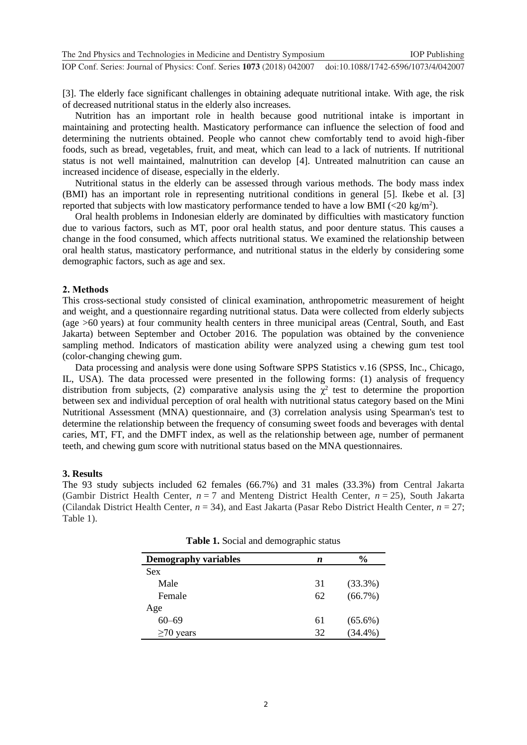[3]. The elderly face significant challenges in obtaining adequate nutritional intake. With age, the risk of decreased nutritional status in the elderly also increases.

Nutrition has an important role in health because good nutritional intake is important in maintaining and protecting health. Masticatory performance can influence the selection of food and determining the nutrients obtained. People who cannot chew comfortably tend to avoid high-fiber foods, such as bread, vegetables, fruit, and meat, which can lead to a lack of nutrients. If nutritional status is not well maintained, malnutrition can develop [4]. Untreated malnutrition can cause an increased incidence of disease, especially in the elderly.

Nutritional status in the elderly can be assessed through various methods. The body mass index (BMI) has an important role in representing nutritional conditions in general [5]. Ikebe et al. [3] reported that subjects with low masticatory performance tended to have a low BMI (<20 kg/m<sup>2</sup>).

Oral health problems in Indonesian elderly are dominated by difficulties with masticatory function due to various factors, such as MT, poor oral health status, and poor denture status. This causes a change in the food consumed, which affects nutritional status. We examined the relationship between oral health status, masticatory performance, and nutritional status in the elderly by considering some demographic factors, such as age and sex.

#### **2. Methods**

This cross-sectional study consisted of clinical examination, anthropometric measurement of height and weight, and a questionnaire regarding nutritional status. Data were collected from elderly subjects (age >60 years) at four community health centers in three municipal areas (Central, South, and East Jakarta) between September and October 2016. The population was obtained by the convenience sampling method. Indicators of mastication ability were analyzed using a chewing gum test tool (color-changing chewing gum.

Data processing and analysis were done using Software SPPS Statistics v.16 (SPSS, Inc., Chicago, IL, USA). The data processed were presented in the following forms: (1) analysis of frequency distribution from subjects, (2) comparative analysis using the  $\chi^2$  test to determine the proportion between sex and individual perception of oral health with nutritional status category based on the Mini Nutritional Assessment (MNA) questionnaire, and (3) correlation analysis using Spearman's test to determine the relationship between the frequency of consuming sweet foods and beverages with dental caries, MT, FT, and the DMFT index, as well as the relationship between age, number of permanent teeth, and chewing gum score with nutritional status based on the MNA questionnaires.

#### **3. Results**

The 93 study subjects included 62 females (66.7%) and 31 males (33.3%) from Central Jakarta (Gambir District Health Center, *n* = 7 and Menteng District Health Center, *n* = 25), South Jakarta (Cilandak District Health Center, *n* = 34), and East Jakarta (Pasar Rebo District Health Center, *n* = 27; Table 1).

| <b>Demography variables</b> | n  | $\frac{0}{0}$ |
|-----------------------------|----|---------------|
| <b>Sex</b>                  |    |               |
| Male                        | 31 | $(33.3\%)$    |
| Female                      | 62 | $(66.7\%)$    |
| Age                         |    |               |
| $60 - 69$                   | 61 | $(65.6\%)$    |
| $\geq$ 70 years             | 32 | $(34.4\%)$    |

**Table 1.** Social and demographic status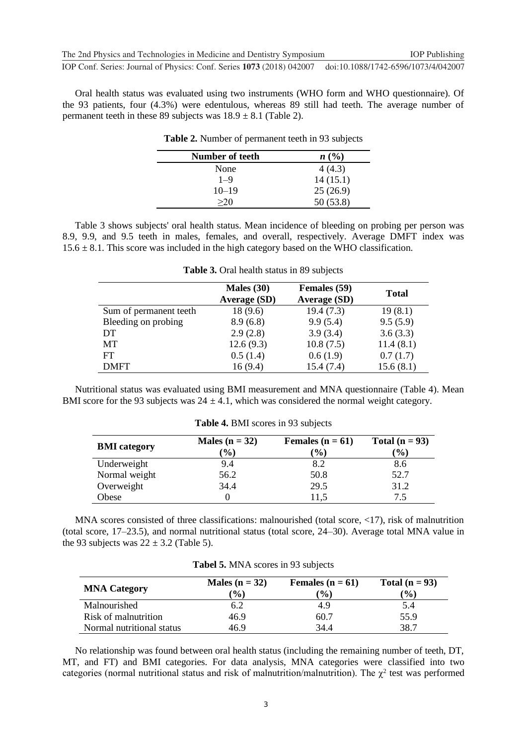**1234567890** ''"" IOP Conf. Series: Journal of Physics: Conf. Series **1073** (2018) 042007 doi :10.1088/1742-6596/1073/4/042007

Oral health status was evaluated using two instruments (WHO form and WHO questionnaire). Of the 93 patients, four (4.3%) were edentulous, whereas 89 still had teeth. The average number of permanent teeth in these 89 subjects was  $18.9 \pm 8.1$  (Table 2).

| Number of teeth | n(%)      |
|-----------------|-----------|
| None            | 4(4.3)    |
| $1 - 9$         | 14(15.1)  |
| $10 - 19$       | 25(26.9)  |
| >20             | 50 (53.8) |

**Table 2.** Number of permanent teeth in 93 subjects

Table 3 shows subjects' oral health status. Mean incidence of bleeding on probing per person was 8.9, 9.9, and 9.5 teeth in males, females, and overall, respectively. Average DMFT index was  $15.6 \pm 8.1$ . This score was included in the high category based on the WHO classification.

|                        | Males $(30)$<br><b>Average (SD)</b> | Females (59)<br><b>Average (SD)</b> | <b>Total</b> |
|------------------------|-------------------------------------|-------------------------------------|--------------|
| Sum of permanent teeth | 18(9.6)                             | 19.4(7.3)                           | 19(8.1)      |
| Bleeding on probing    | 8.9(6.8)                            | 9.9(5.4)                            | 9.5(5.9)     |
| DT                     | 2.9(2.8)                            | 3.9(3.4)                            | 3.6(3.3)     |
| MТ                     | 12.6(9.3)                           | 10.8(7.5)                           | 11.4(8.1)    |
| FT                     | 0.5(1.4)                            | 0.6(1.9)                            | 0.7(1.7)     |
| <b>DMFT</b>            | 16(9.4)                             | 15.4 (7.4)                          | 15.6(8.1)    |

**Table 3.** Oral health status in 89 subjects

Nutritional status was evaluated using BMI measurement and MNA questionnaire (Table 4). Mean BMI score for the 93 subjects was  $24 \pm 4.1$ , which was considered the normal weight category.

| <b>BMI</b> category | Males ( $n = 32$ )<br>$\left( \frac{0}{0} \right)$ | Females $(n = 61)$<br>$\mathcal{O}_0$ | Total $(n = 93)$<br>$($ % $)$ |
|---------------------|----------------------------------------------------|---------------------------------------|-------------------------------|
| Underweight         | 9.4                                                | 8.2                                   | 8.6                           |
| Normal weight       | 56.2                                               | 50.8                                  | 52.7                          |
| Overweight          | 34.4                                               | 29.5                                  | 31.2                          |
| Obese               |                                                    | 11.5                                  | 7.5                           |

**Table 4.** BMI scores in 93 subjects

MNA scores consisted of three classifications: malnourished (total score, <17), risk of malnutrition (total score, 17–23.5), and normal nutritional status (total score, 24–30). Average total MNA value in the 93 subjects was  $22 \pm 3.2$  (Table 5).

| <b>MNA Category</b>       | Males ( $n = 32$ )<br>$(\%)$ | Females ( $n = 61$ )<br>$\frac{1}{2}$ | Total $(n = 93)$<br>$\frac{9}{0}$ |
|---------------------------|------------------------------|---------------------------------------|-----------------------------------|
| Malnourished              | 6.2                          | 4.9                                   | 5.4                               |
| Risk of malnutrition      | 46.9                         | 60.7                                  | 55.9                              |
| Normal nutritional status | 46.9                         | 34.4                                  | 38.7                              |

No relationship was found between oral health status (including the remaining number of teeth, DT, MT, and FT) and BMI categories. For data analysis, MNA categories were classified into two categories (normal nutritional status and risk of malnutrition/malnutrition). The  $\chi^2$  test was performed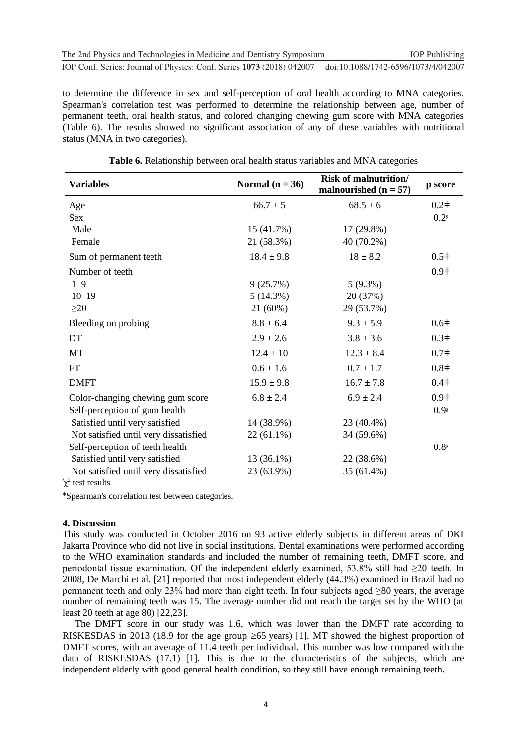to determine the difference in sex and self-perception of oral health according to MNA categories. Spearman's correlation test was performed to determine the relationship between age, number of permanent teeth, oral health status, and colored changing chewing gum score with MNA categories (Table 6). The results showed no significant association of any of these variables with nutritional status (MNA in two categories).

| <b>Variables</b>                      | Normal $(n = 36)$ | <b>Risk of malnutrition/</b><br>malnourished $(n = 57)$ | p score          |
|---------------------------------------|-------------------|---------------------------------------------------------|------------------|
| Age                                   | $66.7 \pm 5$      | $68.5 \pm 6$                                            | $0.2\dagger$     |
| Sex                                   |                   |                                                         | $0.2^s$          |
| Male                                  | 15 (41.7%)        | 17 (29.8%)                                              |                  |
| Female                                | 21 (58.3%)        | 40 (70.2%)                                              |                  |
| Sum of permanent teeth                | $18.4 \pm 9.8$    | $18 \pm 8.2$                                            | $0.5\dagger$     |
| Number of teeth                       |                   |                                                         | 0.9 <sup>†</sup> |
| $1 - 9$                               | 9(25.7%)          | $5(9.3\%)$                                              |                  |
| $10 - 19$                             | 5(14.3%)          | 20 (37%)                                                |                  |
| $\geq$ 20                             | 21 (60%)          | 29 (53.7%)                                              |                  |
| Bleeding on probing                   | $8.8 \pm 6.4$     | $9.3 \pm 5.9$                                           | 0.6 <sup>‡</sup> |
| DT                                    | $2.9 \pm 2.6$     | $3.8 \pm 3.6$                                           | 0.3 <sup>‡</sup> |
| MT                                    | $12.4 \pm 10$     | $12.3 \pm 8.4$                                          | 0.7 <sup>‡</sup> |
| <b>FT</b>                             | $0.6 \pm 1.6$     | $0.7 \pm 1.7$                                           | $0.8\dagger$     |
| <b>DMFT</b>                           | $15.9 \pm 9.8$    | $16.7 \pm 7.8$                                          | 0.4 <sup>‡</sup> |
| Color-changing chewing gum score      | $6.8 \pm 2.4$     | $6.9 \pm 2.4$                                           | 0.9 <sup>‡</sup> |
| Self-perception of gum health         |                   |                                                         | 0.98             |
| Satisfied until very satisfied        | 14 (38.9%)        | 23 (40.4%)                                              |                  |
| Not satisfied until very dissatisfied | $22(61.1\%)$      | 34 (59.6%)                                              |                  |
| Self-perception of teeth health       |                   |                                                         | 0.8 <sup>s</sup> |
| Satisfied until very satisfied        | 13 (36.1%)        | 22 (38.6%)                                              |                  |
| Not satisfied until very dissatisfied | 23 (63.9%)        | 35 (61.4%)                                              |                  |

**Table 6.** Relationship between oral health status variables and MNA categories

 $\sqrt[8]{\chi^2}$  test results

<sup>ǂ</sup>Spearman's correlation test between categories.

#### **4. Discussion**

This study was conducted in October 2016 on 93 active elderly subjects in different areas of DKI Jakarta Province who did not live in social institutions. Dental examinations were performed according to the WHO examination standards and included the number of remaining teeth, DMFT score, and periodontal tissue examination. Of the independent elderly examined, 53.8% still had ≥20 teeth. In 2008, De Marchi et al. [21] reported that most independent elderly (44.3%) examined in Brazil had no permanent teeth and only 23% had more than eight teeth. In four subjects aged ≥80 years, the average number of remaining teeth was 15. The average number did not reach the target set by the WHO (at least 20 teeth at age 80) [22,23].

The DMFT score in our study was 1.6, which was lower than the DMFT rate according to RISKESDAS in 2013 (18.9 for the age group  $\geq 65$  years) [1]. MT showed the highest proportion of DMFT scores, with an average of 11.4 teeth per individual. This number was low compared with the data of RISKESDAS (17.1) [1]. This is due to the characteristics of the subjects, which are independent elderly with good general health condition, so they still have enough remaining teeth.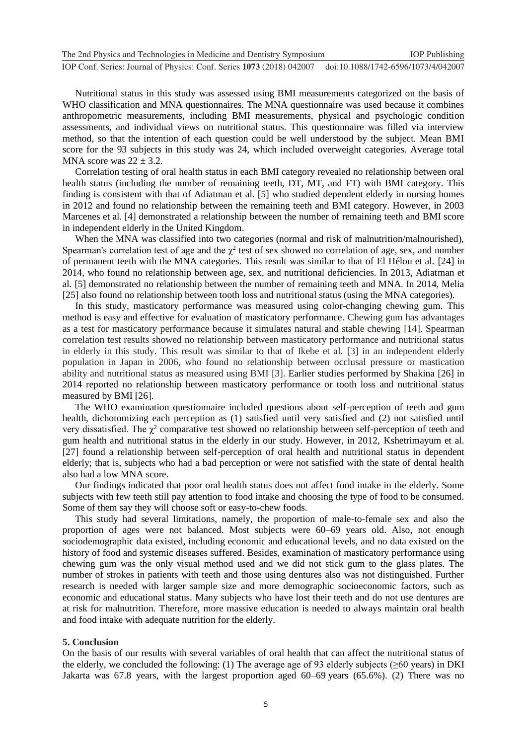| The 2nd Physics and Technologies in Medicine and Dentistry Symposium                                      | <b>IOP</b> Publishing |
|-----------------------------------------------------------------------------------------------------------|-----------------------|
| IOP Conf. Series: Journal of Physics: Conf. Series 1073 (2018) 042007 doi:10.1088/1742-6596/1073/4/042007 |                       |

Nutritional status in this study was assessed using BMI measurements categorized on the basis of WHO classification and MNA questionnaires. The MNA questionnaire was used because it combines anthropometric measurements, including BMI measurements, physical and psychologic condition assessments, and individual views on nutritional status. This questionnaire was filled via interview method, so that the intention of each question could be well understood by the subject. Mean BMI score for the 93 subjects in this study was 24, which included overweight categories. Average total MNA score was  $22 \pm 3.2$ .

Correlation testing of oral health status in each BMI category revealed no relationship between oral health status (including the number of remaining teeth, DT, MT, and FT) with BMI category. This finding is consistent with that of Adiatman et al. [5] who studied dependent elderly in nursing homes in 2012 and found no relationship between the remaining teeth and BMI category. However, in 2003 Marcenes et al. [4] demonstrated a relationship between the number of remaining teeth and BMI score in independent elderly in the United Kingdom.

When the MNA was classified into two categories (normal and risk of malnutrition/malnourished), Spearman's correlation test of age and the  $\chi^2$  test of sex showed no correlation of age, sex, and number of permanent teeth with the MNA categories. This result was similar to that of El Hélou et al. [24] in 2014, who found no relationship between age, sex, and nutritional deficiencies. In 2013, Adiatman et al. [5] demonstrated no relationship between the number of remaining teeth and MNA. In 2014, Melia [25] also found no relationship between tooth loss and nutritional status (using the MNA categories).

In this study, masticatory performance was measured using color-changing chewing gum. This method is easy and effective for evaluation of masticatory performance. Chewing gum has advantages as a test for masticatory performance because it simulates natural and stable chewing [14]. Spearman correlation test results showed no relationship between masticatory performance and nutritional status in elderly in this study. This result was similar to that of Ikebe et al. [3] in an independent elderly population in Japan in 2006, who found no relationship between occlusal pressure or mastication ability and nutritional status as measured using BMI [3]. Earlier studies performed by Shakina [26] in 2014 reported no relationship between masticatory performance or tooth loss and nutritional status measured by BMI [26].

The WHO examination questionnaire included questions about self-perception of teeth and gum health, dichotomizing each perception as (1) satisfied until very satisfied and (2) not satisfied until very dissatisfied. The  $\chi^2$  comparative test showed no relationship between self-perception of teeth and gum health and nutritional status in the elderly in our study. However, in 2012, Kshetrimayum et al. [27] found a relationship between self-perception of oral health and nutritional status in dependent elderly; that is, subjects who had a bad perception or were not satisfied with the state of dental health also had a low MNA score.

Our findings indicated that poor oral health status does not affect food intake in the elderly. Some subjects with few teeth still pay attention to food intake and choosing the type of food to be consumed. Some of them say they will choose soft or easy-to-chew foods.

This study had several limitations, namely, the proportion of male-to-female sex and also the proportion of ages were not balanced. Most subjects were 60–69 years old. Also, not enough sociodemographic data existed, including economic and educational levels, and no data existed on the history of food and systemic diseases suffered. Besides, examination of masticatory performance using chewing gum was the only visual method used and we did not stick gum to the glass plates. The number of strokes in patients with teeth and those using dentures also was not distinguished. Further research is needed with larger sample size and more demographic socioeconomic factors, such as economic and educational status. Many subjects who have lost their teeth and do not use dentures are at risk for malnutrition. Therefore, more massive education is needed to always maintain oral health and food intake with adequate nutrition for the elderly.

#### **5. Conclusion**

On the basis of our results with several variables of oral health that can affect the nutritional status of the elderly, we concluded the following: (1) The average age of 93 elderly subjects ( $\geq 60$  years) in DKI Jakarta was 67.8 years, with the largest proportion aged 60–69 years (65.6%). (2) There was no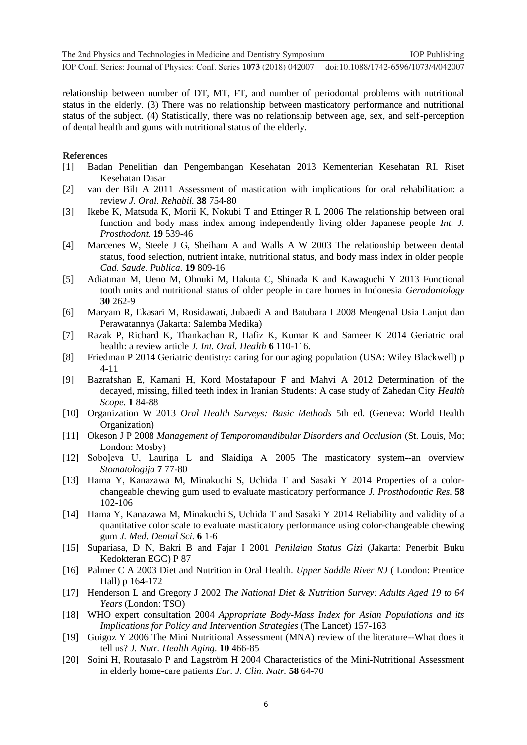**1234567890** ''"" IOP Conf. Series: Journal of Physics: Conf. Series **1073** (2018) 042007 doi :10.1088/1742-6596/1073/4/042007

relationship between number of DT, MT, FT, and number of periodontal problems with nutritional status in the elderly. (3) There was no relationship between masticatory performance and nutritional status of the subject. (4) Statistically, there was no relationship between age, sex, and self-perception of dental health and gums with nutritional status of the elderly.

#### **References**

- [1] Badan Penelitian dan Pengembangan Kesehatan 2013 Kementerian Kesehatan RI. Riset Kesehatan Dasar
- [2] van der Bilt A 2011 Assessment of mastication with implications for oral rehabilitation: a review *J. Oral. Rehabil.* **38** 754-80
- [3] Ikebe K, Matsuda K, Morii K, Nokubi T and Ettinger R L 2006 The relationship between oral function and body mass index among independently living older Japanese people *Int. J. Prosthodont.* **19** 539-46
- [4] Marcenes W, Steele J G, Sheiham A and Walls A W 2003 The relationship between dental status, food selection, nutrient intake, nutritional status, and body mass index in older people *Cad. Saude. Publica.* **19** 809-16
- [5] Adiatman M, Ueno M, Ohnuki M, Hakuta C, Shinada K and Kawaguchi Y 2013 Functional tooth units and nutritional status of older people in care homes in Indonesia *Gerodontology*  **30** 262-9
- [6] Maryam R, Ekasari M, Rosidawati, Jubaedi A and Batubara I 2008 Mengenal Usia Lanjut dan Perawatannya (Jakarta: Salemba Medika)
- [7] Razak P, Richard K, Thankachan R, Hafiz K, Kumar K and Sameer K 2014 Geriatric oral health: a review article *J. Int. Oral. Health* **6** 110-116.
- [8] Friedman P 2014 Geriatric dentistry: caring for our aging population (USA: Wiley Blackwell) p 4-11
- [9] Bazrafshan E, Kamani H, Kord Mostafapour F and Mahvi A 2012 Determination of the decayed, missing, filled teeth index in Iranian Students: A case study of Zahedan City *Health Scope.* **1** 84-88
- [10] Organization W 2013 *Oral Health Surveys: Basic Methods* 5th ed. (Geneva: World Health Organization)
- [11] Okeson J P 2008 *Management of Temporomandibular Disorders and Occlusion* (St. Louis, Mo; London: Mosby)
- [12] Soboļeva U, Lauriņa L and Slaidiņa A 2005 The masticatory system--an overview *Stomatologija* **7** 77-80
- [13] Hama Y, Kanazawa M, Minakuchi S, Uchida T and Sasaki Y 2014 Properties of a colorchangeable chewing gum used to evaluate masticatory performance *J. Prosthodontic Res.* **58** 102-106
- [14] Hama Y, Kanazawa M, Minakuchi S, Uchida T and Sasaki Y 2014 Reliability and validity of a quantitative color scale to evaluate masticatory performance using color-changeable chewing gum *J. Med. Dental Sci.* **6** 1-6
- [15] Supariasa, D N, Bakri B and Fajar I 2001 *Penilaian Status Gizi* (Jakarta: Penerbit Buku Kedokteran EGC) P 87
- [16] Palmer C A 2003 Diet and Nutrition in Oral Health. *Upper Saddle River NJ* ( London: Prentice Hall) p 164-172
- [17] Henderson L and Gregory J 2002 *The National Diet & Nutrition Survey: Adults Aged 19 to 64 Years* (London: TSO)
- [18] WHO expert consultation 2004 *Appropriate Body-Mass Index for Asian Populations and its Implications for Policy and Intervention Strategies* (The Lancet) 157-163
- [19] Guigoz Y 2006 The Mini Nutritional Assessment (MNA) review of the literature--What does it tell us? *J. Nutr. Health Aging.* **10** 466-85
- [20] Soini H, Routasalo P and Lagström H 2004 Characteristics of the Mini-Nutritional Assessment in elderly home-care patients *Eur. J. Clin. Nutr.* **58** 64-70